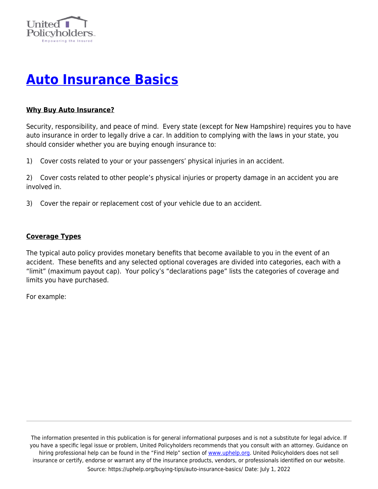

# **[Auto Insurance Basics](https://uphelp.org/buying-tips/auto-insurance-basics/)**

## **Why Buy Auto Insurance?**

Security, responsibility, and peace of mind. Every state (except for New Hampshire) requires you to have auto insurance in order to legally drive a car. In addition to complying with the laws in your state, you should consider whether you are buying enough insurance to:

1) Cover costs related to your or your passengers' physical injuries in an accident.

2) Cover costs related to other people's physical injuries or property damage in an accident you are involved in.

3) Cover the repair or replacement cost of your vehicle due to an accident.

## **Coverage Types**

The typical auto policy provides monetary benefits that become available to you in the event of an accident. These benefits and any selected optional coverages are divided into categories, each with a "limit" (maximum payout cap). Your policy's "declarations page" lists the categories of coverage and limits you have purchased.

For example: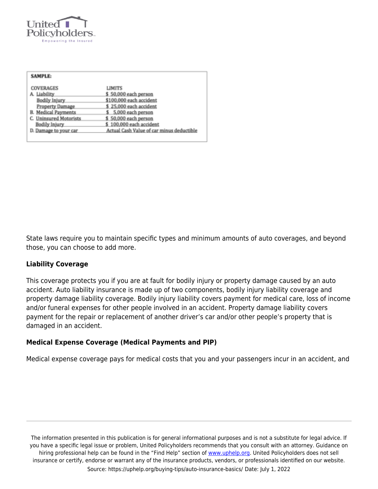

| <b>SAMPLE:</b>                   |                                           |
|----------------------------------|-------------------------------------------|
| COVERAGES                        | LIMITS                                    |
| A. Liability                     | \$50,000 each person                      |
| Bodily Injury                    | \$100,000 each accident                   |
| Property Damage                  | \$25,000 each accident                    |
| <b>B.</b> Medical Payments       | \$ 5,000 each person                      |
| <b>Uninsured Motorists</b><br>c. | \$50,000 each person                      |
| <b>Bodily Injury</b>             | \$100,000 each accident                   |
| D. Damage to your car            | Actual Cash Value of car minus deductible |
|                                  |                                           |

State laws require you to maintain specific types and minimum amounts of auto coverages, and beyond those, you can choose to add more.

#### **Liability Coverage**

This coverage protects you if you are at fault for bodily injury or property damage caused by an auto accident. Auto liability insurance is made up of two components, bodily injury liability coverage and property damage liability coverage. Bodily injury liability covers payment for medical care, loss of income and/or funeral expenses for other people involved in an accident. Property damage liability covers payment for the repair or replacement of another driver's car and/or other people's property that is damaged in an accident.

#### **Medical Expense Coverage (Medical Payments and PIP)**

Medical expense coverage pays for medical costs that you and your passengers incur in an accident, and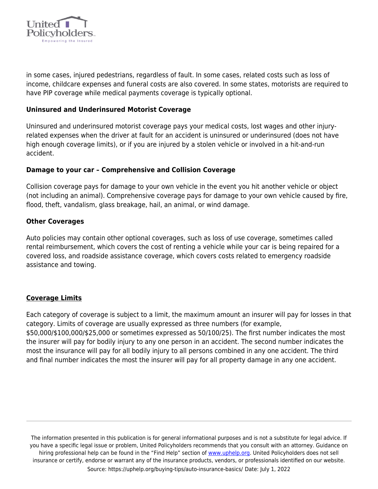

in some cases, injured pedestrians, regardless of fault. In some cases, related costs such as loss of income, childcare expenses and funeral costs are also covered. In some states, motorists are required to have PIP coverage while medical payments coverage is typically optional.

#### **Uninsured and Underinsured Motorist Coverage**

Uninsured and underinsured motorist coverage pays your medical costs, lost wages and other injuryrelated expenses when the driver at fault for an accident is uninsured or underinsured (does not have high enough coverage limits), or if you are injured by a stolen vehicle or involved in a hit-and-run accident.

#### **Damage to your car – Comprehensive and Collision Coverage**

Collision coverage pays for damage to your own vehicle in the event you hit another vehicle or object (not including an animal). Comprehensive coverage pays for damage to your own vehicle caused by fire, flood, theft, vandalism, glass breakage, hail, an animal, or wind damage.

#### **Other Coverages**

Auto policies may contain other optional coverages, such as loss of use coverage, sometimes called rental reimbursement, which covers the cost of renting a vehicle while your car is being repaired for a covered loss, and roadside assistance coverage, which covers costs related to emergency roadside assistance and towing.

#### **Coverage Limits**

Each category of coverage is subject to a limit, the maximum amount an insurer will pay for losses in that category. Limits of coverage are usually expressed as three numbers (for example, \$50,000/\$100,000/\$25,000 or sometimes expressed as 50/100/25). The first number indicates the most the insurer will pay for bodily injury to any one person in an accident. The second number indicates the most the insurance will pay for all bodily injury to all persons combined in any one accident. The third and final number indicates the most the insurer will pay for all property damage in any one accident.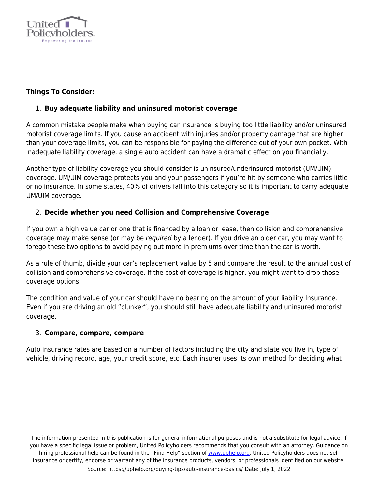

# **Things To Consider:**

## 1. **Buy adequate liability and uninsured motorist coverage**

A common mistake people make when buying car insurance is buying too little liability and/or uninsured motorist coverage limits. If you cause an accident with injuries and/or property damage that are higher than your coverage limits, you can be responsible for paying the difference out of your own pocket. With inadequate liability coverage, a single auto accident can have a dramatic effect on you financially.

Another type of liability coverage you should consider is uninsured/underinsured motorist (UM/UIM) coverage. UM/UIM coverage protects you and your passengers if you're hit by someone who carries little or no insurance. In some states, 40% of drivers fall into this category so it is important to carry adequate UM/UIM coverage.

## 2. **Decide whether you need Collision and Comprehensive Coverage**

If you own a high value car or one that is financed by a loan or lease, then collision and comprehensive coverage may make sense (or may be required by a lender). If you drive an older car, you may want to forego these two options to avoid paying out more in premiums over time than the car is worth.

As a rule of thumb, divide your car's replacement value by 5 and compare the result to the annual cost of collision and comprehensive coverage. If the cost of coverage is higher, you might want to drop those coverage options

The condition and value of your car should have no bearing on the amount of your liability Insurance. Even if you are driving an old "clunker", you should still have adequate liability and uninsured motorist coverage.

## 3. **Compare, compare, compare**

Auto insurance rates are based on a number of factors including the city and state you live in, type of vehicle, driving record, age, your credit score, etc. Each insurer uses its own method for deciding what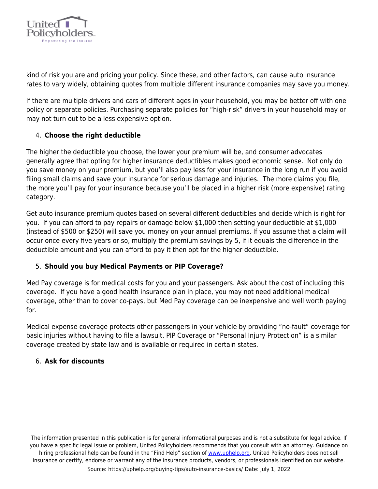

kind of risk you are and pricing your policy. Since these, and other factors, can cause auto insurance rates to vary widely, obtaining quotes from multiple different insurance companies may save you money.

If there are multiple drivers and cars of different ages in your household, you may be better off with one policy or separate policies. Purchasing separate policies for "high-risk" drivers in your household may or may not turn out to be a less expensive option.

# 4. **Choose the right deductible**

The higher the deductible you choose, the lower your premium will be, and consumer advocates generally agree that opting for higher insurance deductibles makes good economic sense. Not only do you save money on your premium, but you'll also pay less for your insurance in the long run if you avoid filing small claims and save your insurance for serious damage and injuries. The more claims you file, the more you'll pay for your insurance because you'll be placed in a higher risk (more expensive) rating category.

Get auto insurance premium quotes based on several different deductibles and decide which is right for you. If you can afford to pay repairs or damage below \$1,000 then setting your deductible at \$1,000 (instead of \$500 or \$250) will save you money on your annual premiums. If you assume that a claim will occur once every five years or so, multiply the premium savings by 5, if it equals the difference in the deductible amount and you can afford to pay it then opt for the higher deductible.

# 5. **Should you buy Medical Payments or PIP Coverage?**

Med Pay coverage is for medical costs for you and your passengers. Ask about the cost of including this coverage. If you have a good health insurance plan in place, you may not need additional medical coverage, other than to cover co-pays, but Med Pay coverage can be inexpensive and well worth paying for.

Medical expense coverage protects other passengers in your vehicle by providing "no-fault" coverage for basic injuries without having to file a lawsuit. PIP Coverage or "Personal Injury Protection" is a similar coverage created by state law and is available or required in certain states.

## 6. **Ask for discounts**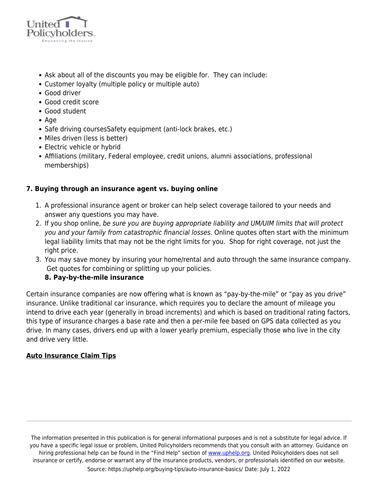

- Ask about all of the discounts you may be eligible for. They can include:
- Customer loyalty (multiple policy or multiple auto)
- Good driver
- Good credit score
- Good student
- $\bullet$  Age
- Safe driving courses Safety equipment (anti-lock brakes, etc.)
- Miles driven (less is better)
- Electric vehicle or hybrid
- Affiliations (military, Federal employee, credit unions, alumni associations, professional memberships)

# **7. Buying through an insurance agent vs. buying online**

- 1. A professional insurance agent or broker can help select coverage tailored to your needs and answer any questions you may have.
- 2. If you shop online, be sure you are buying appropriate liability and UM/UIM limits that will protect you and your family from catastrophic financial losses. Online quotes often start with the minimum legal liability limits that may not be the right limits for you. Shop for right coverage, not just the right price.
- 3. You may save money by insuring your home/rental and auto through the same insurance company. Get quotes for combining or splitting up your policies.

# **8. Pay-by-the-mile insurance**

Certain insurance companies are now offering what is known as "pay-by-the-mile" or "pay as you drive" insurance. Unlike traditional car insurance, which requires you to declare the amount of mileage you intend to drive each year (generally in broad increments) and which is based on traditional rating factors, this type of insurance charges a base rate and then a per-mile fee based on GPS data collected as you drive. In many cases, drivers end up with a lower yearly premium, especially those who live in the city and drive very little.

## **Auto Insurance Claim Tips**